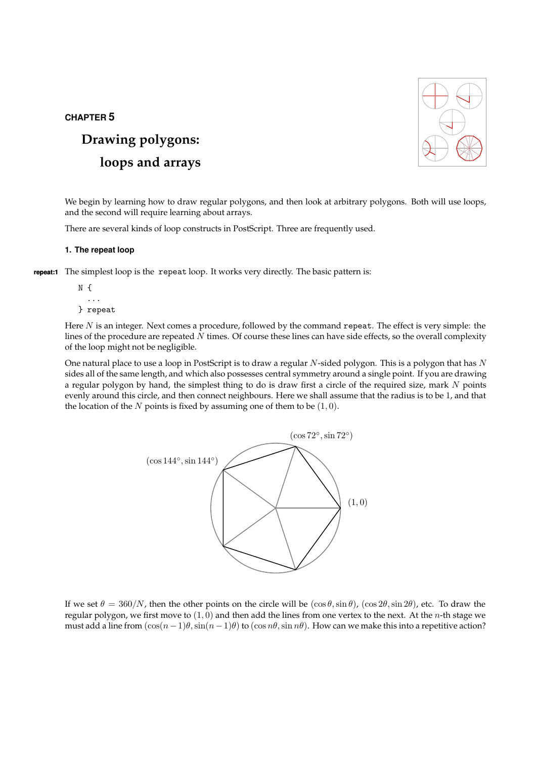## CHAPTER 5

# Drawing polygons: loops and arrays



We begin by learning how to draw regular polygons, and then look at arbitrary polygons. Both will use loops, and the second will require learning about arrays.

There are several kinds of loop constructs in PostScript. Three are frequently used.

## 1. The repeat loop

repeat:1 The simplest loop is the repeat loop. It works very directly. The basic pattern is:

- N {
- ...
- } repeat

Here  $N$  is an integer. Next comes a procedure, followed by the command repeat. The effect is very simple: the lines of the procedure are repeated  $N$  times. Of course these lines can have side effects, so the overall complexity of the loop might not be negligible.

One natural place to use a loop in PostScript is to draw a regular  $N$ -sided polygon. This is a polygon that has  $N$ sides all of the same length, and which also possesses central symmetry around a single point. If you are drawing a regular polygon by hand, the simplest thing to do is draw first a circle of the required size, mark N points evenly around this circle, and then connect neighbours. Here we shall assume that the radius is to be 1, and that the location of the N points is fixed by assuming one of them to be  $(1, 0)$ .



If we set  $\theta = 360/N$ , then the other points on the circle will be  $(\cos \theta, \sin \theta)$ ,  $(\cos 2\theta, \sin 2\theta)$ , etc. To draw the regular polygon, we first move to  $(1, 0)$  and then add the lines from one vertex to the next. At the *n*-th stage we must add a line from  $(\cos(n-1)\theta, \sin(n-1)\theta)$  to  $(\cos n\theta, \sin n\theta)$ . How can we make this into a repetitive action?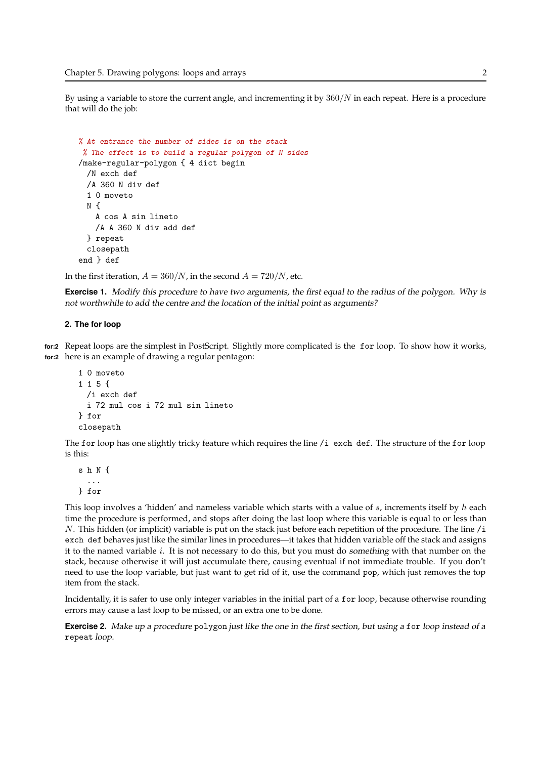By using a variable to store the current angle, and incrementing it by  $360/N$  in each repeat. Here is a procedure that will do the job:

```
% At entrance the number of sides is on the stack
% The effect is to build a regular polygon of N sides
/make-regular-polygon { 4 dict begin
 /N exch def
 /A 360 N div def
 1 0 moveto
 N fA cos A sin lineto
   /A A 360 N div add def
 } repeat
 closepath
end } def
```
In the first iteration,  $A = 360/N$ , in the second  $A = 720/N$ , etc.

**Exercise 1.** Modify this procedure to have two arguments, the first equal to the radius of the polygon. Why is not worthwhile to add the centre and the location of the initial point as arguments?

## 2. The for loop

for:2 Repeat loops are the simplest in PostScript. Slightly more complicated is the for loop. To show how it works, for:2 here is an example of drawing a regular pentagon:

```
1 0 moveto
1 1 5 {
 /i exch def
 i 72 mul cos i 72 mul sin lineto
} for
closepath
```
The for loop has one slightly tricky feature which requires the line /i exch def. The structure of the for loop is this:

s h N { ... } for

This loop involves a 'hidden' and nameless variable which starts with a value of  $s$ , increments itself by  $h$  each time the procedure is performed, and stops after doing the last loop where this variable is equal to or less than N. This hidden (or implicit) variable is put on the stack just before each repetition of the procedure. The line /i exch def behaves just like the similar lines in procedures—it takes that hidden variable off the stack and assigns it to the named variable i. It is not necessary to do this, but you must do something with that number on the stack, because otherwise it will just accumulate there, causing eventual if not immediate trouble. If you don't need to use the loop variable, but just want to get rid of it, use the command pop, which just removes the top item from the stack.

Incidentally, it is safer to use only integer variables in the initial part of a for loop, because otherwise rounding errors may cause a last loop to be missed, or an extra one to be done.

**Exercise 2.** Make up a procedure polygon just like the one in the first section, but using a for loop instead of a repeat loop.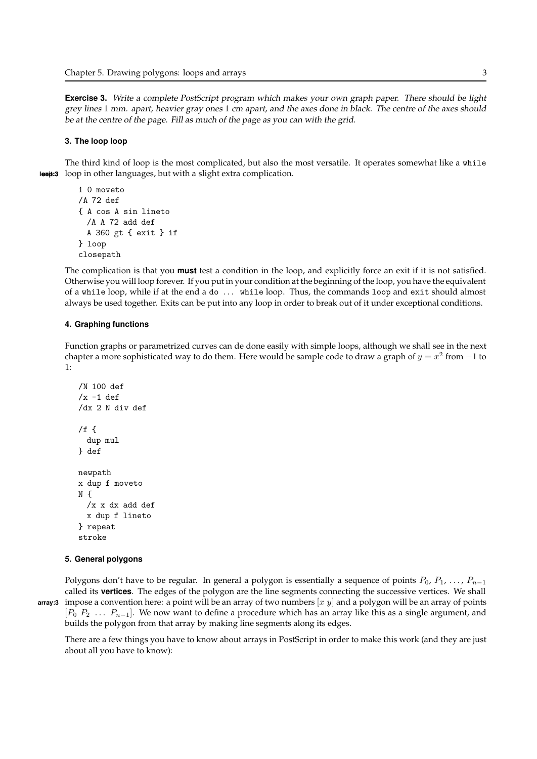**Exercise 3.** Write a complete PostScript program which makes your own graph paper. There should be light grey lines 1 mm. apart, heavier gray ones 1 cm apart, and the axes done in black. The centre of the axes should be at the centre of the page. Fill as much of the page as you can with the grid.

#### 3. The loop loop

The third kind of loop is the most complicated, but also the most versatile. It operates somewhat like a while lesit:3 loop in other languages, but with a slight extra complication.

```
1 0 moveto
/A 72 def
{ A cos A sin lineto
 /A A 72 add def
 A 360 gt { exit } if
} loop
closepath
```
The complication is that you **must** test a condition in the loop, and explicitly force an exit if it is not satisfied. Otherwise you will loop forever. If you put in your condition at the beginning of the loop, you have the equivalent of a while loop, while if at the end a do . . . while loop. Thus, the commands loop and exit should almost always be used together. Exits can be put into any loop in order to break out of it under exceptional conditions.

## 4. Graphing functions

Function graphs or parametrized curves can de done easily with simple loops, although we shall see in the next chapter a more sophisticated way to do them. Here would be sample code to draw a graph of  $y = x^2$  from  $-1$  to 1:

```
/N 100 def
/x - 1 def
/dx 2 N div def
/f {
  dup mul
} def
newpath
x dup f moveto
N f/x x dx add def
 x dup f lineto
} repeat
stroke
```
#### 5. General polygons

Polygons don't have to be regular. In general a polygon is essentially a sequence of points  $P_0, P_1, \ldots, P_{n-1}$ called its **vertices**. The edges of the polygon are the line segments connecting the successive vertices. We shall array: 3 impose a convention here: a point will be an array of two numbers  $[x, y]$  and a polygon will be an array of points  $[P_0 \ P_2 \ \ldots \ P_{n-1}]$ . We now want to define a procedure which has an array like this as a single argument, and builds the polygon from that array by making line segments along its edges.

There are a few things you have to know about arrays in PostScript in order to make this work (and they are just about all you have to know):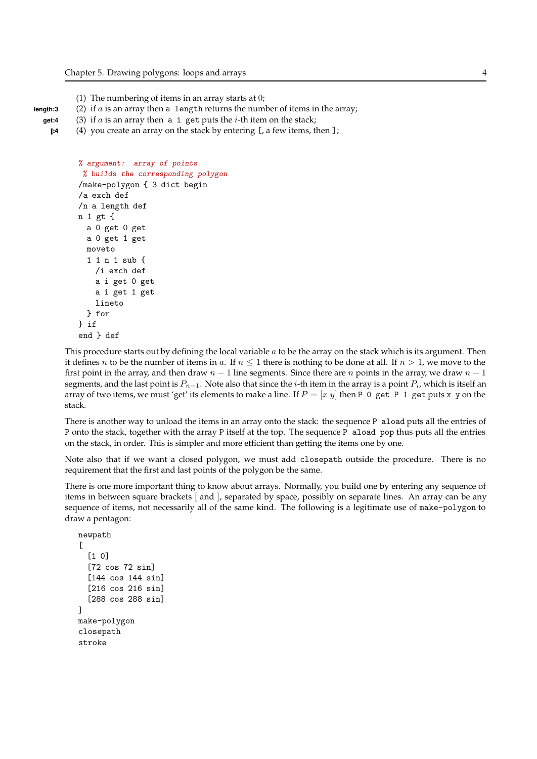- (1) The numbering of items in an array starts at 0;
- length:3 (2) if  $a$  is an array then a length returns the number of items in the array;
	- get:4 (3) if  $a$  is an array then  $a$  i get puts the *i*-th item on the stack;
	- [:4] (4) you create an array on the stack by entering [, a few items, then ];

```
% argument: array of points
% builds the corresponding polygon
/make-polygon { 3 dict begin
/a exch def
/n a length def
n 1 gt {
  a 0 get 0 get
  a 0 get 1 get
 moveto
  1 1 n 1 sub {
    /i exch def
    a i get 0 get
    a i get 1 get
    lineto
  } for
} if
end } def
```
This procedure starts out by defining the local variable  $a$  to be the array on the stack which is its argument. Then it defines n to be the number of items in a. If  $n \leq 1$  there is nothing to be done at all. If  $n > 1$ , we move to the first point in the array, and then draw  $n - 1$  line segments. Since there are n points in the array, we draw  $n - 1$ segments, and the last point is  $P_{n-1}$ . Note also that since the  $i$ -th item in the array is a point  $P_i$ , which is itself an array of two items, we must 'get' its elements to make a line. If  $P = [x \, y]$  then P 0 get P 1 get puts x y on the stack.

There is another way to unload the items in an array onto the stack: the sequence P aload puts all the entries of P onto the stack, together with the array P itself at the top. The sequence P aload pop thus puts all the entries on the stack, in order. This is simpler and more efficient than getting the items one by one.

Note also that if we want a closed polygon, we must add closepath outside the procedure. There is no requirement that the first and last points of the polygon be the same.

There is one more important thing to know about arrays. Normally, you build one by entering any sequence of items in between square brackets [ and ], separated by space, possibly on separate lines. An array can be any sequence of items, not necessarily all of the same kind. The following is a legitimate use of make-polygon to draw a pentagon:

```
newpath
\sqrt{ }[1 0]
  [72 cos 72 sin]
  [144 cos 144 sin]
  [216 cos 216 sin]
  [288 cos 288 sin]
]
make-polygon
closepath
stroke
```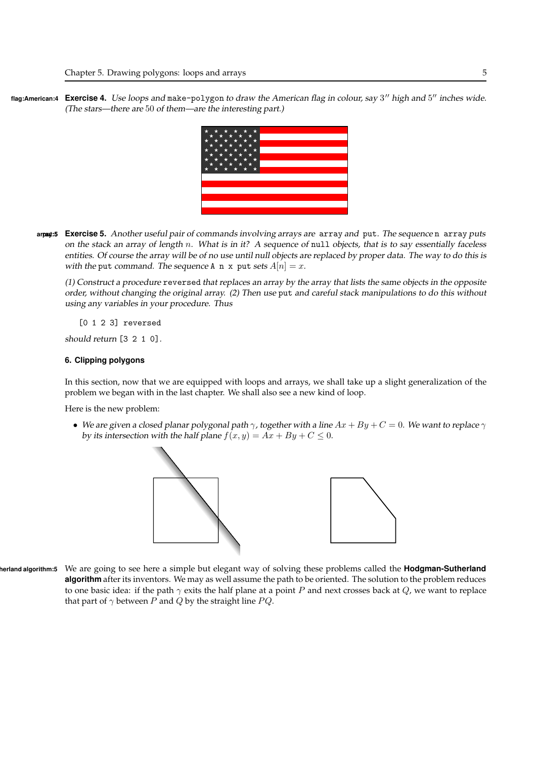flag:American:4 Exercise 4. Use loops and make-polygon to draw the American flag in colour, say 3" high and 5" inches wide. (The stars—there are 50 of them—are the interesting part.)



array:5 Exercise 5. Another useful pair of commands involving arrays are array and put. The sequence n array puts on the stack an array of length n. What is in it? A sequence of null objects, that is to say essentially faceless entities. Of course the array will be of no use until null objects are replaced by proper data. The way to do this is with the put command. The sequence A n x put sets  $A[n] = x$ .

(1) Construct <sup>a</sup> procedure reversed that replaces an array by the array that lists the same objects in the opposite order, without changing the original array. (2) Then use put and careful stack manipulations to do this without using any variables in your procedure. Thus

[0 1 2 3] reversed

should return [3 2 1 0].

## 6. Clipping polygons

In this section, now that we are equipped with loops and arrays, we shall take up a slight generalization of the problem we began with in the last chapter. We shall also see a new kind of loop.

Here is the new problem:

• We are given a closed planar polygonal path  $\gamma$ , together with a line  $Ax + By + C = 0$ . We want to replace  $\gamma$ by its intersection with the half plane  $f(x, y) = Ax + By + C \le 0$ .



herland algorithm:5 We are going to see here a simple but elegant way of solving these problems called the **Hodgman-Sutherland** algorithm after its inventors. We may as well assume the path to be oriented. The solution to the problem reduces to one basic idea: if the path  $\gamma$  exits the half plane at a point P and next crosses back at  $Q$ , we want to replace that part of  $\gamma$  between P and Q by the straight line PQ.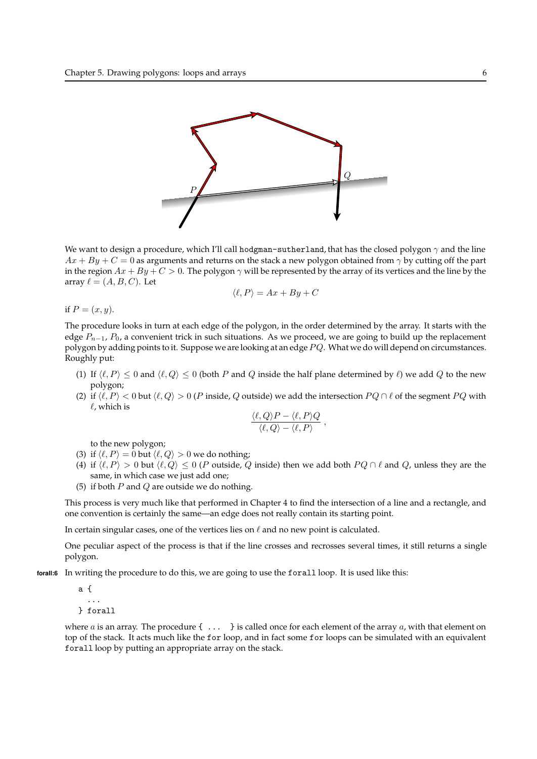

We want to design a procedure, which I'll call hodgman-sutherland, that has the closed polygon  $\gamma$  and the line  $Ax + By + C = 0$  as arguments and returns on the stack a new polygon obtained from  $\gamma$  by cutting off the part in the region  $Ax + By + C > 0$ . The polygon  $\gamma$  will be represented by the array of its vertices and the line by the array  $\ell = (A, B, C)$ . Let

$$
\langle \ell, P \rangle = Ax + By + C
$$

if  $P = (x, y)$ .

The procedure looks in turn at each edge of the polygon, in the order determined by the array. It starts with the edge  $P_{n-1}$ ,  $P_0$ , a convenient trick in such situations. As we proceed, we are going to build up the replacement polygon by adding points to it. Suppose we are looking at an edge  $PQ$ . What we do will depend on circumstances. Roughly put:

- (1) If  $\langle \ell, P \rangle \le 0$  and  $\langle \ell, Q \rangle \le 0$  (both P and Q inside the half plane determined by  $\ell$ ) we add Q to the new polygon;
- (2) if  $\langle \ell, P \rangle < 0$  but  $\langle \ell, Q \rangle > 0$  (P inside, Q outside) we add the intersection  $PQ \cap \ell$  of the segment PQ with  $\ell$ , which is

$$
\frac{\langle \ell, Q \rangle P - \langle \ell, P \rangle Q}{\langle \ell, Q \rangle - \langle \ell, P \rangle} ,
$$

to the new polygon;

- (3) if  $\langle \ell, P \rangle = 0$  but  $\langle \ell, Q \rangle > 0$  we do nothing;
- (4) if  $\langle \ell, P \rangle > 0$  but  $\langle \ell, Q \rangle \le 0$  (P outside, Q inside) then we add both PQ  $\cap \ell$  and Q, unless they are the same, in which case we just add one;
- (5) if both  $P$  and  $Q$  are outside we do nothing.

This process is very much like that performed in Chapter 4 to find the intersection of a line and a rectangle, and one convention is certainly the same—an edge does not really contain its starting point.

In certain singular cases, one of the vertices lies on  $\ell$  and no new point is calculated.

One peculiar aspect of the process is that if the line crosses and recrosses several times, it still returns a single polygon.

forall:6 In writing the procedure to do this, we are going to use the forall loop. It is used like this:

a { ... } forall

where a is an array. The procedure  $\{\ldots\}$  is called once for each element of the array a, with that element on top of the stack. It acts much like the for loop, and in fact some for loops can be simulated with an equivalent forall loop by putting an appropriate array on the stack.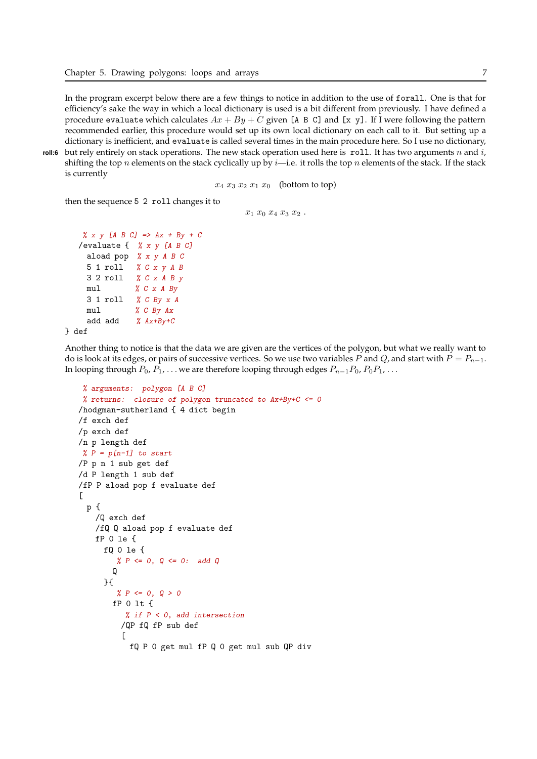In the program excerpt below there are a few things to notice in addition to the use of forall. One is that for efficiency's sake the way in which a local dictionary is used is a bit different from previously. I have defined a procedure evaluate which calculates  $Ax + By + C$  given [A B C] and [x y]. If I were following the pattern recommended earlier, this procedure would set up its own local dictionary on each call to it. But setting up a dictionary is inefficient, and evaluate is called several times in the main procedure here. So I use no dictionary, roll:6 but rely entirely on stack operations. The new stack operation used here is roll. It has two arguments n and  $i$ , shifting the top n elements on the stack cyclically up by  $i$ —i.e. it rolls the top n elements of the stack. If the stack

is currently

 $x_4$   $x_3$   $x_2$   $x_1$   $x_0$  (bottom to top)

then the sequence 5 2 roll changes it to

 $x_1 x_0 x_4 x_3 x_2$ .

```
% x y [A B C] => Ax + By + C
/evaluate \frac{1}{2} \frac{1}{2} \frac{1}{2} \frac{1}{2} \frac{1}{2} \frac{1}{2} \frac{1}{2} \frac{1}{2} \frac{1}{2} \frac{1}{2} \frac{1}{2} \frac{1}{2} \frac{1}{2} \frac{1}{2} \frac{1}{2} \frac{1}{2} \frac{1}{2} \frac{1}{2} \frac{1}{2} \frac{1}{2} \frac{1}{2} aload pop % x y A B C5 1 roll % C x y A B
   3 2 roll % C x A B y
   mul \frac{\partial}{\partial C} x A By
   3 1 roll % C By x A
   mul % C By Ax
   add \frac{\partial}{\partial x} A x + B y + C
```

```
} def
```
Another thing to notice is that the data we are given are the vertices of the polygon, but what we really want to do is look at its edges, or pairs of successive vertices. So we use two variables P and Q, and start with  $P = P_{n-1}$ . In looping through  $P_0, P_1, \ldots$  we are therefore looping through edges  $P_{n-1}P_0, P_0P_1, \ldots$ 

```
% arguments: polygon [A B C]
 % returns: closure of polygon truncated to Ax+By+C <= 0
/hodgman-sutherland { 4 dict begin
/f exch def
/p exch def
/n p length def
% P = p[n-1] to start
/P p n 1 sub get def
/d P length 1 sub def
/fP P aload pop f evaluate def
[
 p {
    /Q exch def
    /fQ Q aload pop f evaluate def
    fP 0 le {
     fQ 0 le {
        % P \le 0, Q \le 0: add Q\Omega}{
        % P \le 0, Q > 0fP 0 lt {
          % if P < 0, add intersection
          /QP fQ fP sub def
          \GammafQ P 0 get mul fP Q 0 get mul sub QP div
```